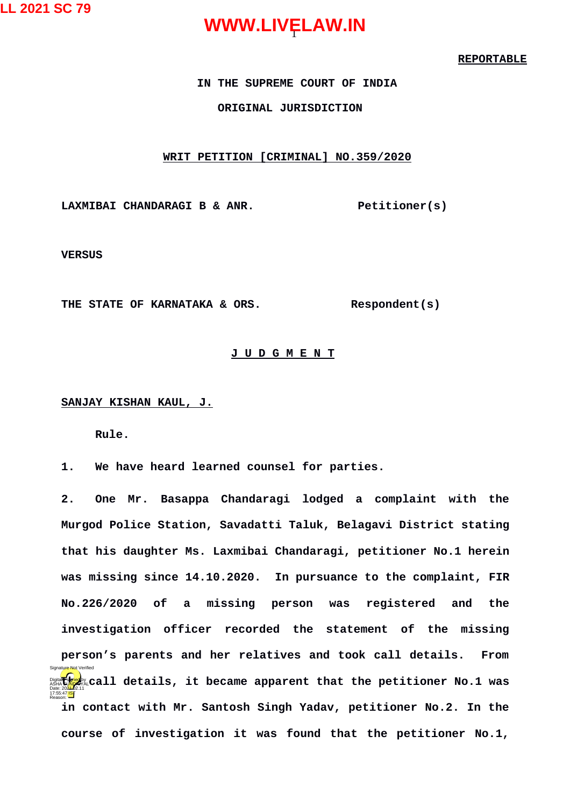#### **REPORTABLE**

#### **IN THE SUPREME COURT OF INDIA ORIGINAL JURISDICTION**

#### **WRIT PETITION [CRIMINAL] NO.359/2020**

LAXMIBAI CHANDARAGI B & ANR. Petitioner(s)

**VERSUS**

**THE STATE OF KARNATAKA & ORS. Respondent(s)**

#### **J U D G M E N T**

#### **SANJAY KISHAN KAUL, J.**

**Rule.**

**1. We have heard learned counsel for parties.**

**2. One Mr. Basappa Chandaragi lodged a complaint with the Murgod Police Station, Savadatti Taluk, Belagavi District stating that his daughter Ms. Laxmibai Chandaragi, petitioner No.1 herein was missing since 14.10.2020. In pursuance to the complaint, FIR No.226/2020 of a missing person was registered and the investigation officer recorded the statement of the missing person's parents and her relatives and took call details. From** Digital **Call details, it became apparent that the petitioner No.1 was**<br>Date:2021.2021.<br>Date:2021**. in contact with Mr. Santosh Singh Yadav, petitioner No.2. In the course of investigation it was found that the petitioner No.1,** 17:55:47 IST Reason: Signature Not Verified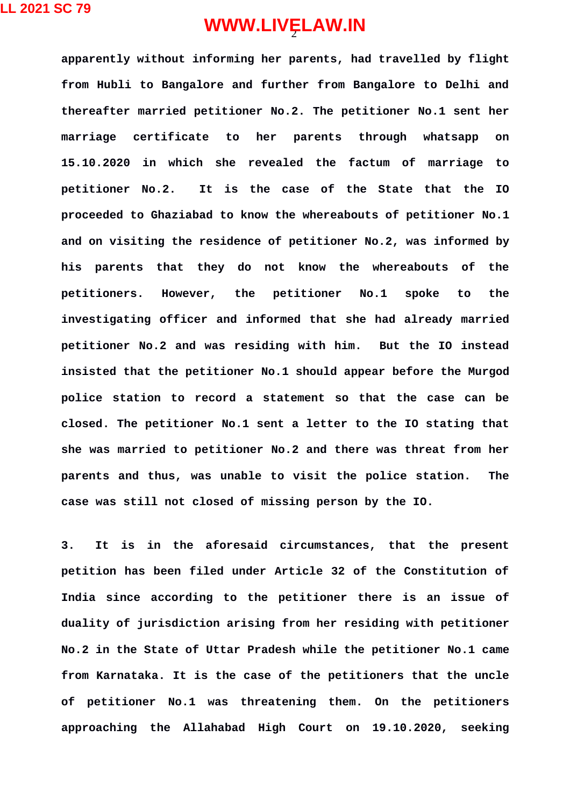**apparently without informing her parents, had travelled by flight from Hubli to Bangalore and further from Bangalore to Delhi and thereafter married petitioner No.2. The petitioner No.1 sent her marriage certificate to her parents through whatsapp on 15.10.2020 in which she revealed the factum of marriage to petitioner No.2. It is the case of the State that the IO proceeded to Ghaziabad to know the whereabouts of petitioner No.1 and on visiting the residence of petitioner No.2, was informed by his parents that they do not know the whereabouts of the petitioners. However, the petitioner No.1 spoke to the investigating officer and informed that she had already married petitioner No.2 and was residing with him. But the IO instead insisted that the petitioner No.1 should appear before the Murgod police station to record a statement so that the case can be closed. The petitioner No.1 sent a letter to the IO stating that she was married to petitioner No.2 and there was threat from her parents and thus, was unable to visit the police station. The case was still not closed of missing person by the IO.** 

**3. It is in the aforesaid circumstances, that the present petition has been filed under Article 32 of the Constitution of India since according to the petitioner there is an issue of duality of jurisdiction arising from her residing with petitioner No.2 in the State of Uttar Pradesh while the petitioner No.1 came from Karnataka. It is the case of the petitioners that the uncle of petitioner No.1 was threatening them. On the petitioners approaching the Allahabad High Court on 19.10.2020, seeking**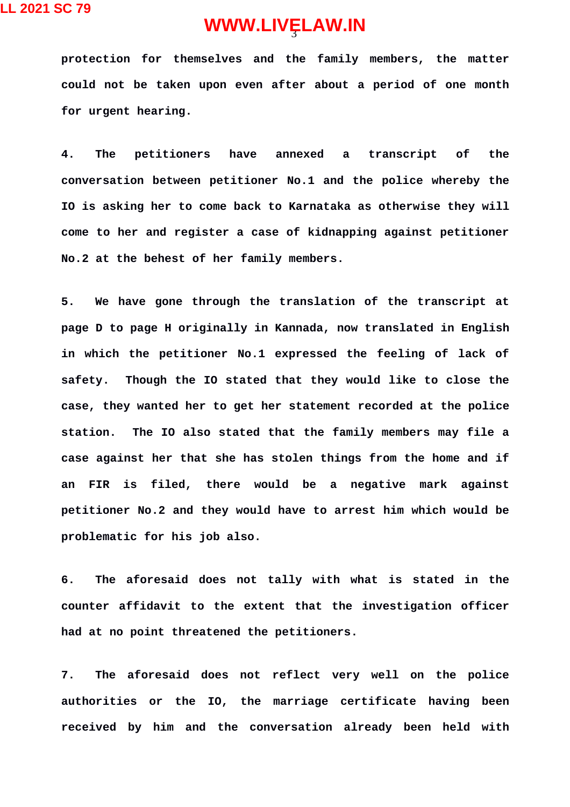**protection for themselves and the family members, the matter could not be taken upon even after about a period of one month for urgent hearing.** 

**4. The petitioners have annexed a transcript of the conversation between petitioner No.1 and the police whereby the IO is asking her to come back to Karnataka as otherwise they will come to her and register a case of kidnapping against petitioner No.2 at the behest of her family members.**

**5. We have gone through the translation of the transcript at page D to page H originally in Kannada, now translated in English in which the petitioner No.1 expressed the feeling of lack of safety. Though the IO stated that they would like to close the case, they wanted her to get her statement recorded at the police station. The IO also stated that the family members may file a case against her that she has stolen things from the home and if an FIR is filed, there would be a negative mark against petitioner No.2 and they would have to arrest him which would be problematic for his job also.** 

**6. The aforesaid does not tally with what is stated in the counter affidavit to the extent that the investigation officer had at no point threatened the petitioners.**

**7. The aforesaid does not reflect very well on the police authorities or the IO, the marriage certificate having been received by him and the conversation already been held with**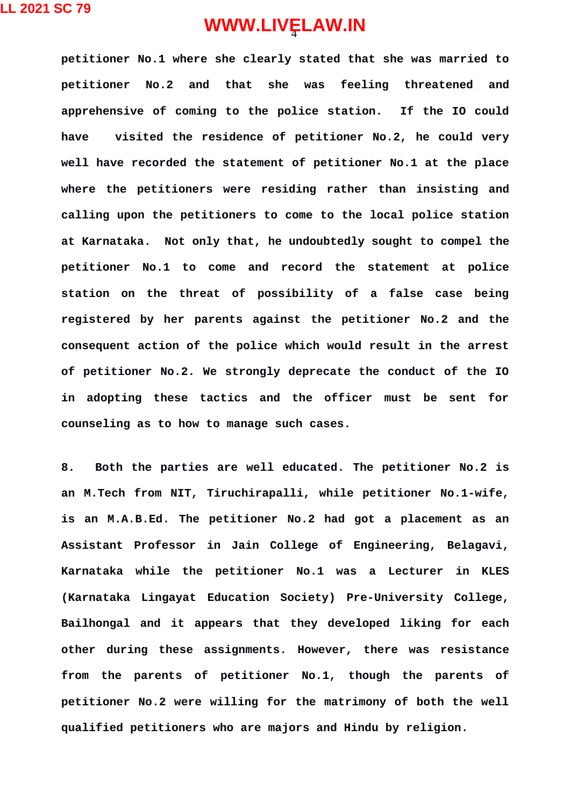**petitioner No.1 where she clearly stated that she was married to petitioner No.2 and that she was feeling threatened and apprehensive of coming to the police station. If the IO could have visited the residence of petitioner No.2, he could very well have recorded the statement of petitioner No.1 at the place where the petitioners were residing rather than insisting and calling upon the petitioners to come to the local police station at Karnataka. Not only that, he undoubtedly sought to compel the petitioner No.1 to come and record the statement at police station on the threat of possibility of a false case being registered by her parents against the petitioner No.2 and the consequent action of the police which would result in the arrest of petitioner No.2. We strongly deprecate the conduct of the IO in adopting these tactics and the officer must be sent for counseling as to how to manage such cases.**

**8. Both the parties are well educated. The petitioner No.2 is an M.Tech from NIT, Tiruchirapalli, while petitioner No.1-wife, is an M.A.B.Ed. The petitioner No.2 had got a placement as an Assistant Professor in Jain College of Engineering, Belagavi, Karnataka while the petitioner No.1 was a Lecturer in KLES (Karnataka Lingayat Education Society) Pre-University College, Bailhongal and it appears that they developed liking for each other during these assignments. However, there was resistance from the parents of petitioner No.1, though the parents of petitioner No.2 were willing for the matrimony of both the well qualified petitioners who are majors and Hindu by religion.**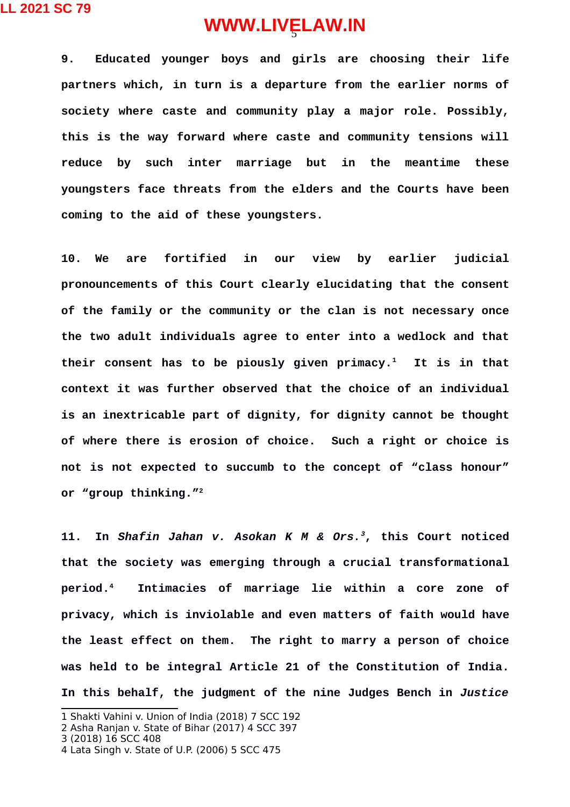**LL 2021 SC 79**

## 5 **WWW.LIVELAW.IN**

**9. Educated younger boys and girls are choosing their life partners which, in turn is a departure from the earlier norms of society where caste and community play a major role. Possibly, this is the way forward where caste and community tensions will reduce by such inter marriage but in the meantime these youngsters face threats from the elders and the Courts have been coming to the aid of these youngsters.**

**10. We are fortified in our view by earlier judicial pronouncements of this Court clearly elucidating that the consent of the family or the community or the clan is not necessary once the two adult individuals agree to enter into a wedlock and that their consent has to be piously given primacy.[1](#page-4-0) It is in that context it was further observed that the choice of an individual is an inextricable part of dignity, for dignity cannot be thought of where there is erosion of choice. Such a right or choice is not is not expected to succumb to the concept of "class honour" or "group thinking."[2](#page-4-1)**

**11. In** *Shafin Jahan v. Asokan K M & Ors.[3](#page-4-2)***, this Court noticed that the society was emerging through a crucial transformational period.[4](#page-4-3) Intimacies of marriage lie within a core zone of privacy, which is inviolable and even matters of faith would have the least effect on them. The right to marry a person of choice was held to be integral Article 21 of the Constitution of India. In this behalf, the judgment of the nine Judges Bench in** *Justice*

<span id="page-4-0"></span><sup>1</sup> Shakti Vahini v. Union of India (2018) 7 SCC 192

<span id="page-4-1"></span><sup>2</sup> Asha Ranjan v. State of Bihar (2017) 4 SCC 397

<span id="page-4-2"></span><sup>3 (2018) 16</sup> SCC 408

<span id="page-4-3"></span><sup>4</sup> Lata Singh v. State of U.P. (2006) 5 SCC 475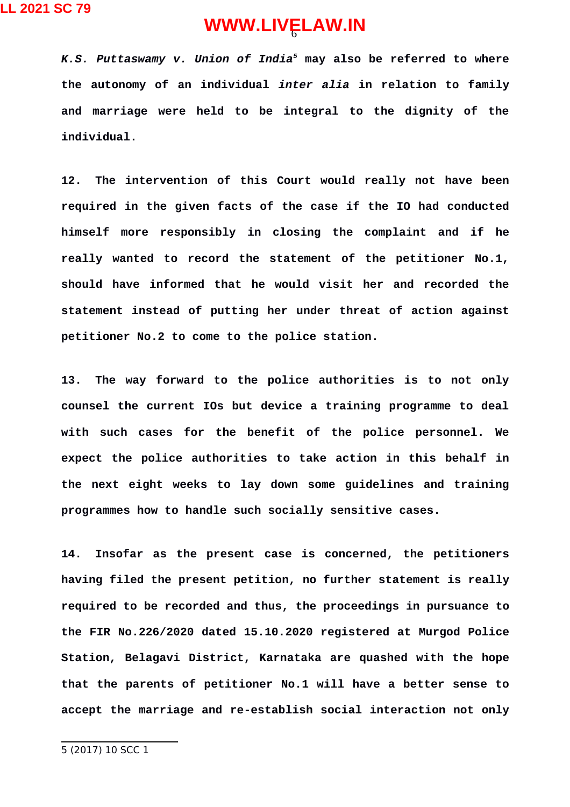*K.S. Puttaswamy v. Union of India[5](#page-5-0)* **may also be referred to where the autonomy of an individual** *inter alia* **in relation to family and marriage were held to be integral to the dignity of the individual.**

**12. The intervention of this Court would really not have been required in the given facts of the case if the IO had conducted himself more responsibly in closing the complaint and if he really wanted to record the statement of the petitioner No.1, should have informed that he would visit her and recorded the statement instead of putting her under threat of action against petitioner No.2 to come to the police station.** 

**13. The way forward to the police authorities is to not only counsel the current IOs but device a training programme to deal with such cases for the benefit of the police personnel. We expect the police authorities to take action in this behalf in the next eight weeks to lay down some guidelines and training programmes how to handle such socially sensitive cases.**

<span id="page-5-0"></span>**14. Insofar as the present case is concerned, the petitioners having filed the present petition, no further statement is really required to be recorded and thus, the proceedings in pursuance to the FIR No.226/2020 dated 15.10.2020 registered at Murgod Police Station, Belagavi District, Karnataka are quashed with the hope that the parents of petitioner No.1 will have a better sense to accept the marriage and re-establish social interaction not only**